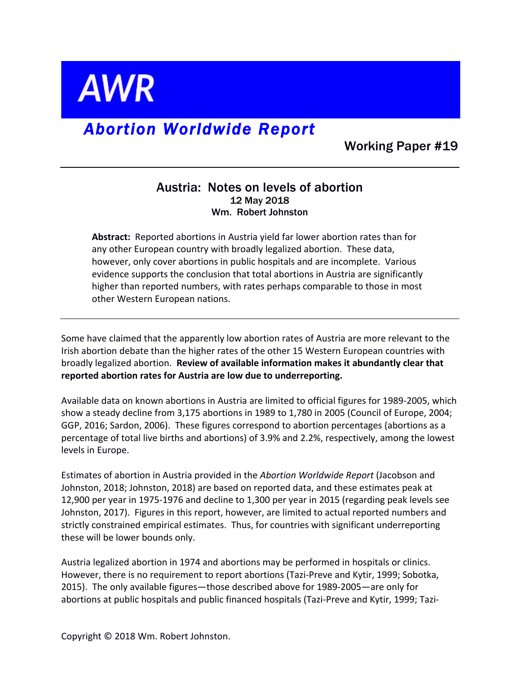

## *Abortion Worldwide Report*

Working Paper #19

## Austria: Notes on levels of abortion 12 May 2018 Wm. Robert Johnston

Abstract: Reported abortions in Austria yield far lower abortion rates than for any other European country with broadly legalized abortion. These data, however, only cover abortions in public hospitals and are incomplete. Various evidence supports the conclusion that total abortions in Austria are significantly higher than reported numbers, with rates perhaps comparable to those in most other Western European nations.

Some have claimed that the apparently low abortion rates of Austria are more relevant to the Irish abortion debate than the higher rates of the other 15 Western European countries with broadly legalized abortion. Review of available information makes it abundantly clear that reported abortion rates for Austria are low due to underreporting.

Available data on known abortions in Austria are limited to official figures for 1989-2005, which show a steady decline from 3,175 abortions in 1989 to 1,780 in 2005 (Council of Europe, 2004; GGP, 2016; Sardon, 2006). These figures correspond to abortion percentages (abortions as a percentage of total live births and abortions) of 3.9% and 2.2%, respectively, among the lowest levels in Europe.

Estimates of abortion in Austria provided in the *Abortion Worldwide Report* (Jacobson and Johnston, 2018; Johnston, 2018) are based on reported data, and these estimates peak at 12,900 per year in 1975-1976 and decline to 1,300 per year in 2015 (regarding peak levels see Johnston, 2017). Figures in this report, however, are limited to actual reported numbers and strictly constrained empirical estimates. Thus, for countries with significant underreporting these will be lower bounds only.

Austria legalized abortion in 1974 and abortions may be performed in hospitals or clinics. However, there is no requirement to report abortions (Tazi-Preve and Kytir, 1999; Sobotka, 2015). The only available figures—those described above for 1989-2005—are only for abortions at public hospitals and public financed hospitals (Tazi-Preve and Kytir, 1999; Tazi-

Copyright © 2018 Wm. Robert Johnston.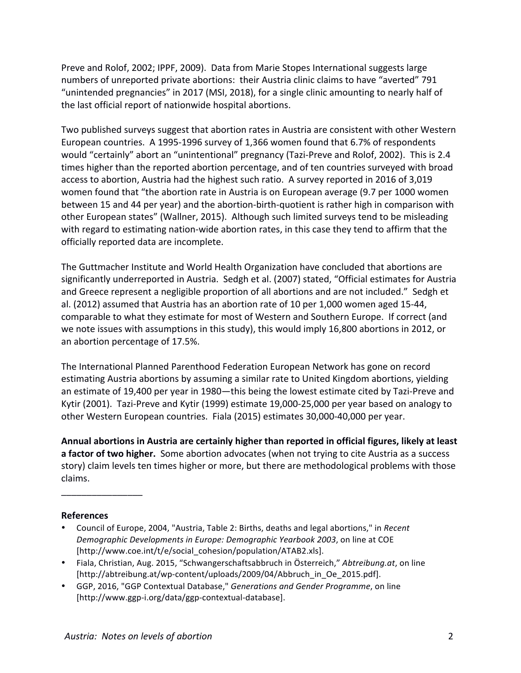Preve and Rolof, 2002; IPPF, 2009). Data from Marie Stopes International suggests large numbers of unreported private abortions: their Austria clinic claims to have "averted" 791 "unintended pregnancies" in 2017 (MSI, 2018), for a single clinic amounting to nearly half of the last official report of nationwide hospital abortions.

Two published surveys suggest that abortion rates in Austria are consistent with other Western European countries. A 1995-1996 survey of 1,366 women found that 6.7% of respondents would "certainly" abort an "unintentional" pregnancy (Tazi-Preve and Rolof, 2002). This is 2.4 times higher than the reported abortion percentage, and of ten countries surveyed with broad access to abortion, Austria had the highest such ratio. A survey reported in 2016 of 3,019 women found that "the abortion rate in Austria is on European average (9.7 per 1000 women between 15 and 44 per year) and the abortion-birth-quotient is rather high in comparison with other European states" (Wallner, 2015). Although such limited surveys tend to be misleading with regard to estimating nation-wide abortion rates, in this case they tend to affirm that the officially reported data are incomplete.

The Guttmacher Institute and World Health Organization have concluded that abortions are significantly underreported in Austria. Sedgh et al. (2007) stated, "Official estimates for Austria and Greece represent a negligible proportion of all abortions and are not included." Sedgh et al. (2012) assumed that Austria has an abortion rate of 10 per 1,000 women aged 15-44, comparable to what they estimate for most of Western and Southern Europe. If correct (and we note issues with assumptions in this study), this would imply 16,800 abortions in 2012, or an abortion percentage of 17.5%.

The International Planned Parenthood Federation European Network has gone on record estimating Austria abortions by assuming a similar rate to United Kingdom abortions, yielding an estimate of 19,400 per year in 1980—this being the lowest estimate cited by Tazi-Preve and Kytir (2001). Tazi-Preve and Kytir (1999) estimate 19,000-25,000 per year based on analogy to other Western European countries. Fiala (2015) estimates 30,000-40,000 per year.

Annual abortions in Austria are certainly higher than reported in official figures, likely at least **a factor of two higher.** Some abortion advocates (when not trying to cite Austria as a success story) claim levels ten times higher or more, but there are methodological problems with those claims.

## **References**

 $\overline{\phantom{a}}$  , we can also the contract of  $\overline{\phantom{a}}$ 

- Council of Europe, 2004, "Austria, Table 2: Births, deaths and legal abortions," in *Recent Demographic Developments in Europe: Demographic Yearbook 2003*, on line at COE [http://www.coe.int/t/e/social\_cohesion/population/ATAB2.xls].
- Fiala, Christian, Aug. 2015, "Schwangerschaftsabbruch in Österreich," Abtreibung.at, on line [http://abtreibung.at/wp-content/uploads/2009/04/Abbruch\_in\_Oe\_2015.pdf].
- GGP, 2016, "GGP Contextual Database," *Generations and Gender Programme*, on line [http://www.ggp-i.org/data/ggp-contextual-database].